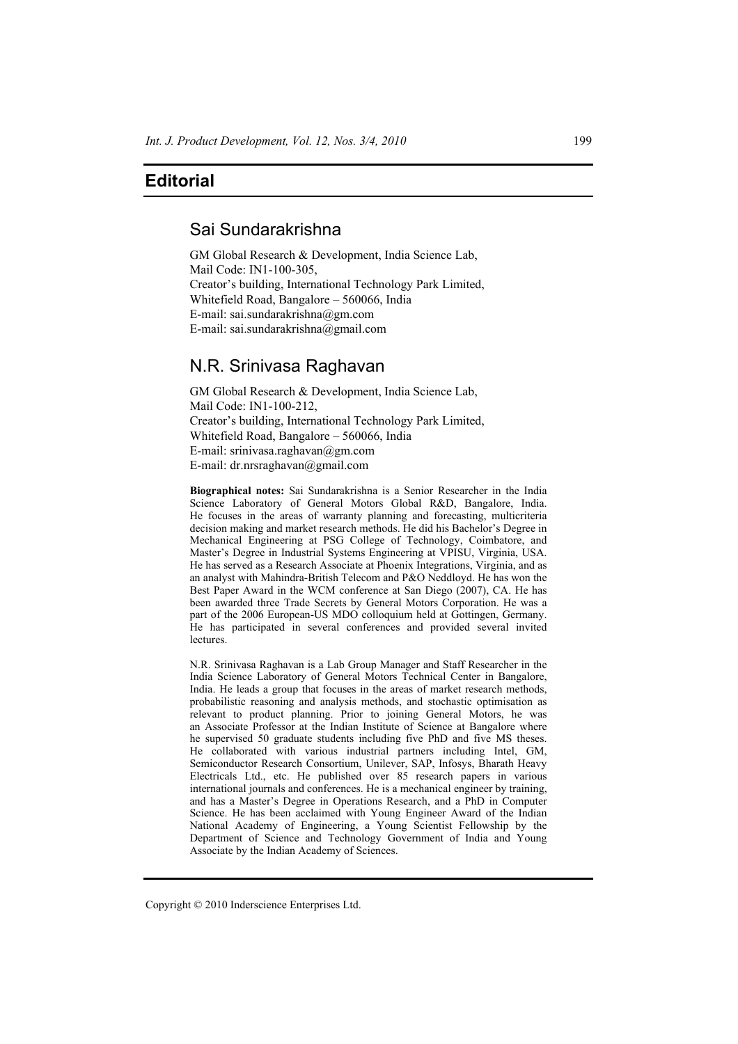## **Editorial**

# Sai Sundarakrishna

GM Global Research & Development, India Science Lab, Mail Code: IN1-100-305, Creator's building, International Technology Park Limited, Whitefield Road, Bangalore – 560066, India E-mail: sai.sundarakrishna@gm.com E-mail: sai.sundarakrishna@gmail.com

# N.R. Srinivasa Raghavan

GM Global Research & Development, India Science Lab, Mail Code: IN1-100-212, Creator's building, International Technology Park Limited, Whitefield Road, Bangalore – 560066, India E-mail: srinivasa.raghavan@gm.com E-mail: dr.nrsraghavan@gmail.com

**Biographical notes:** Sai Sundarakrishna is a Senior Researcher in the India Science Laboratory of General Motors Global R&D, Bangalore, India. He focuses in the areas of warranty planning and forecasting, multicriteria decision making and market research methods. He did his Bachelor's Degree in Mechanical Engineering at PSG College of Technology, Coimbatore, and Master's Degree in Industrial Systems Engineering at VPISU, Virginia, USA. He has served as a Research Associate at Phoenix Integrations, Virginia, and as an analyst with Mahindra-British Telecom and P&O Neddloyd. He has won the Best Paper Award in the WCM conference at San Diego (2007), CA. He has been awarded three Trade Secrets by General Motors Corporation. He was a part of the 2006 European-US MDO colloquium held at Gottingen, Germany. He has participated in several conferences and provided several invited lectures.

N.R. Srinivasa Raghavan is a Lab Group Manager and Staff Researcher in the India Science Laboratory of General Motors Technical Center in Bangalore, India. He leads a group that focuses in the areas of market research methods, probabilistic reasoning and analysis methods, and stochastic optimisation as relevant to product planning. Prior to joining General Motors, he was an Associate Professor at the Indian Institute of Science at Bangalore where he supervised 50 graduate students including five PhD and five MS theses. He collaborated with various industrial partners including Intel, GM, Semiconductor Research Consortium, Unilever, SAP, Infosys, Bharath Heavy Electricals Ltd., etc. He published over 85 research papers in various international journals and conferences. He is a mechanical engineer by training, and has a Master's Degree in Operations Research, and a PhD in Computer Science. He has been acclaimed with Young Engineer Award of the Indian National Academy of Engineering, a Young Scientist Fellowship by the Department of Science and Technology Government of India and Young Associate by the Indian Academy of Sciences.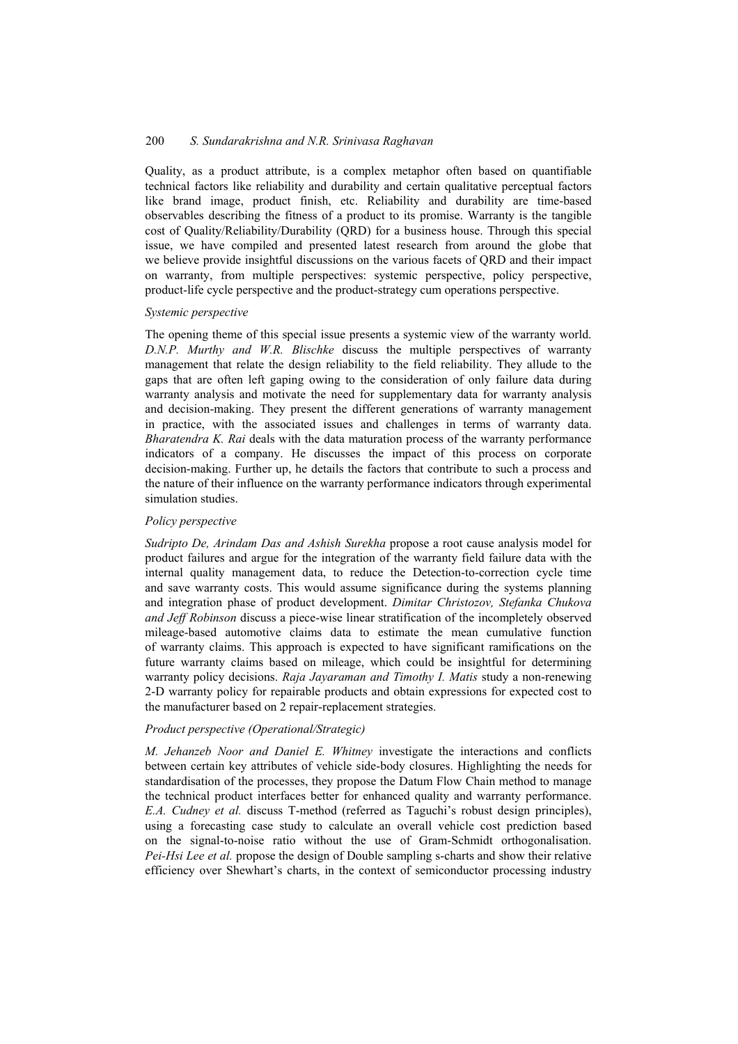### 200 *S. Sundarakrishna and N.R. Srinivasa Raghavan*

Quality, as a product attribute, is a complex metaphor often based on quantifiable technical factors like reliability and durability and certain qualitative perceptual factors like brand image, product finish, etc. Reliability and durability are time-based observables describing the fitness of a product to its promise. Warranty is the tangible cost of Quality/Reliability/Durability (QRD) for a business house. Through this special issue, we have compiled and presented latest research from around the globe that we believe provide insightful discussions on the various facets of QRD and their impact on warranty, from multiple perspectives: systemic perspective, policy perspective, product-life cycle perspective and the product-strategy cum operations perspective.

#### *Systemic perspective*

The opening theme of this special issue presents a systemic view of the warranty world. *D.N.P. Murthy and W.R. Blischke* discuss the multiple perspectives of warranty management that relate the design reliability to the field reliability. They allude to the gaps that are often left gaping owing to the consideration of only failure data during warranty analysis and motivate the need for supplementary data for warranty analysis and decision-making. They present the different generations of warranty management in practice, with the associated issues and challenges in terms of warranty data. *Bharatendra K. Rai* deals with the data maturation process of the warranty performance indicators of a company. He discusses the impact of this process on corporate decision-making. Further up, he details the factors that contribute to such a process and the nature of their influence on the warranty performance indicators through experimental simulation studies.

#### *Policy perspective*

*Sudripto De, Arindam Das and Ashish Surekha* propose a root cause analysis model for product failures and argue for the integration of the warranty field failure data with the internal quality management data, to reduce the Detection-to-correction cycle time and save warranty costs. This would assume significance during the systems planning and integration phase of product development. *Dimitar Christozov, Stefanka Chukova and Jeff Robinson* discuss a piece-wise linear stratification of the incompletely observed mileage-based automotive claims data to estimate the mean cumulative function of warranty claims. This approach is expected to have significant ramifications on the future warranty claims based on mileage, which could be insightful for determining warranty policy decisions. *Raja Jayaraman and Timothy I. Matis* study a non-renewing 2-D warranty policy for repairable products and obtain expressions for expected cost to the manufacturer based on 2 repair-replacement strategies.

### *Product perspective (Operational/Strategic)*

*M. Jehanzeb Noor and Daniel E. Whitney* investigate the interactions and conflicts between certain key attributes of vehicle side-body closures. Highlighting the needs for standardisation of the processes, they propose the Datum Flow Chain method to manage the technical product interfaces better for enhanced quality and warranty performance. *E.A. Cudney et al.* discuss T-method (referred as Taguchi's robust design principles), using a forecasting case study to calculate an overall vehicle cost prediction based on the signal-to-noise ratio without the use of Gram-Schmidt orthogonalisation. *Pei-Hsi Lee et al.* propose the design of Double sampling s-charts and show their relative efficiency over Shewhart's charts, in the context of semiconductor processing industry